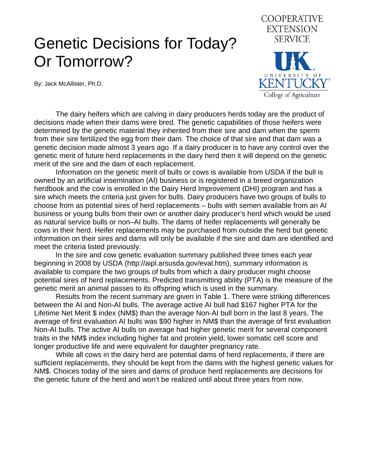## Genetic Decisions for Today? Or Tomorrow?

By: Jack McAllister, Ph.D.



 The dairy heifers which are calving in dairy producers herds today are the product of decisions made when their dams were bred. The genetic capabilities of those heifers were determined by the genetic material they inherited from their sire and dam when the sperm from their sire fertilized the egg from their dam. The choice of that sire and that dam was a genetic decision made almost 3 years ago. If a dairy producer is to have any control over the genetic merit of future herd replacements in the dairy herd then it will depend on the genetic merit of the sire and the dam of each replacement.

 Information on the genetic merit of bulls or cows is available from USDA if the bull is owned by an artificial insemination (AI) business or is registered in a breed organization herdbook and the cow is enrolled in the Dairy Herd Improvement (DHI) program and has a sire which meets the criteria just given for bulls. Dairy producers have two groups of bulls to choose from as potential sires of herd replacements – bulls with semen available from an AI business or young bulls from their own or another dairy producer's herd which would be used as natural service bulls or non–AI bulls. The dams of heifer replacements will generally be cows in their herd. Heifer replacements may be purchased from outside the herd but genetic information on their sires and dams will only be available if the sire and dam are identified and meet the criteria listed previously.

 In the sire and cow genetic evaluation summary published three times each year beginning in 2008 by USDA [\(http://aipl.arsusda.gov/eval.htm\)](http://aipl.arsusda.gov/eval.htm), summary information is available to compare the two groups of bulls from which a dairy producer might choose potential sires of herd replacements. Predicted transmitting ability (PTA) is the measure of the genetic merit an animal passes to its offspring which is used in the summary.

 Results from the recent summary are given in Table 1. There were striking differences between the AI and Non-AI bulls. The average active AI bull had \$167 higher PTA for the Lifetime Net Merit \$ index (NM\$) than the average Non-AI bull born in the last 8 years. The average of first evaluation AI bulls was \$90 higher in NM\$ than the average of first evaluation Non-AI bulls. The active AI bulls on average had higher genetic merit for several component traits in the NM\$ index including higher fat and protein yield, lower somatic cell score and longer productive life and were equivalent for daughter pregnancy rate.

 While all cows in the dairy herd are potential dams of herd replacements, if there are sufficient replacements, they should be kept from the dams with the highest genetic values for NM\$. Choices today of the sires and dams of produce herd replacements are decisions for the genetic future of the herd and won't be realized until about three years from now.